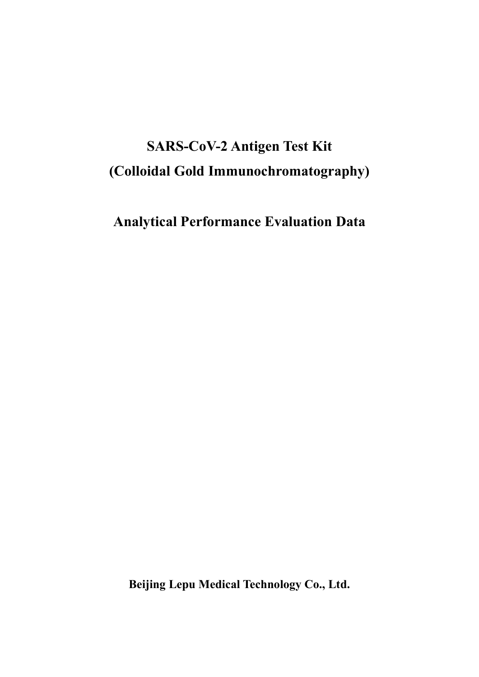# SARS-CoV-2 Antigen Test Kit (Colloidal Gold Immunochromatography)

Analytical Performance Evaluation Data

Beijing Lepu Medical Technology Co., Ltd.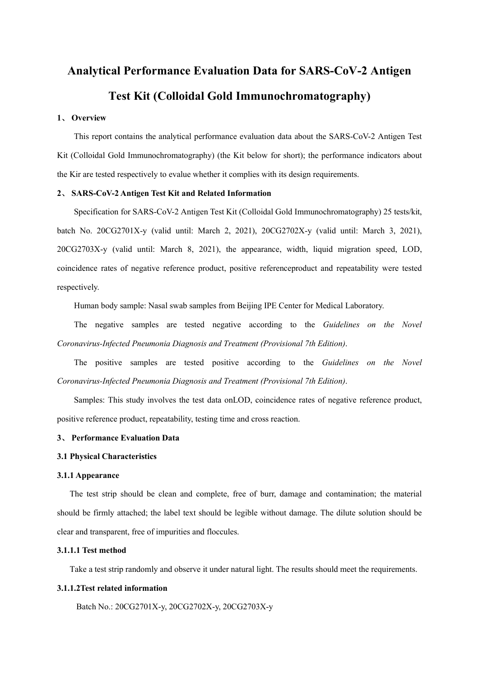# Analytical Performance Evaluation Data for SARS-CoV-2 Antigen Test Kit (Colloidal Gold Immunochromatography)

#### 1、 Overview

This report contains the analytical performance evaluation data about the SARS-CoV-2 Antigen Test Kit (Colloidal Gold Immunochromatography) (the Kit below for short); the performance indicators about the Kir are tested respectively to evalue whether it complies with its design requirements.

#### 2、 SARS-CoV-2 Antigen Test Kit and Related Information

Specification for SARS-CoV-2 Antigen Test Kit (Colloidal Gold Immunochromatography) 25 tests/kit, batch No. 20CG2701X-y (valid until: March 2, 2021), 20CG2702X-y (valid until: March 3, 2021), 20CG2703X-y (valid until: March 8, 2021), the appearance, width, liquid migration speed, LOD, coincidence rates of negative reference product, positive referenceproduct and repeatability were tested respectively.

Human body sample: Nasal swab samples from Beijing IPE Center for Medical Laboratory.

The negative samples are tested negative according to the Guidelines on the Novel Coronavirus-Infected Pneumonia Diagnosis and Treatment (Provisional 7th Edition).

The positive samples are tested positive according to the Guidelines on the Novel Coronavirus-Infected Pneumonia Diagnosis and Treatment (Provisional 7th Edition).

Samples: This study involves the test data onLOD, coincidence rates of negative reference product, positive reference product, repeatability, testing time and cross reaction.

#### 3、 Performance Evaluation Data

#### 3.1 Physical Characteristics

#### 3.1.1 Appearance

The test strip should be clean and complete, free of burr, damage and contamination; the material should be firmly attached; the label text should be legible without damage. The dilute solution should be clear and transparent, free of impurities and floccules.

#### 3.1.1.1 Test method

Take a test strip randomly and observe it under natural light. The results should meet the requirements.

#### 3.1.1.2Test related information

Batch No.: 20CG2701X-y, 20CG2702X-y, 20CG2703X-y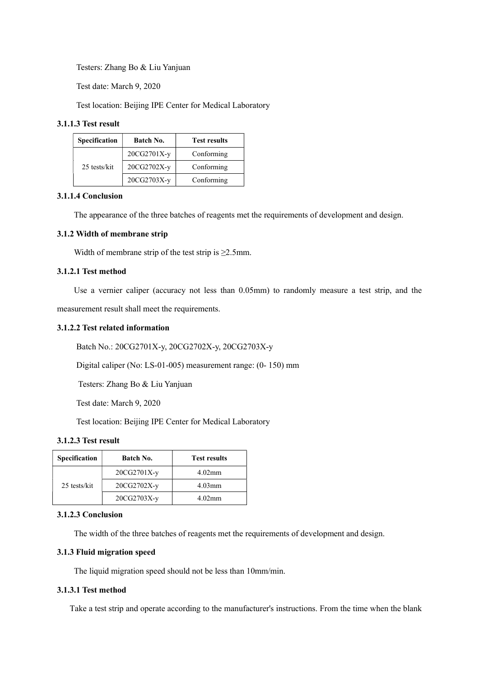Testers: Zhang Bo & Liu Yanjuan

Test date: March 9, 2020

Test location: Beijing IPE Center for Medical Laboratory

### 3.1.1.3 Test result

| <b>Specification</b> | Batch No.   | <b>Test results</b> |
|----------------------|-------------|---------------------|
|                      | 20CG2701X-y | Conforming          |
| 25 tests/kit         | 20CG2702X-y | Conforming          |
|                      | 20CG2703X-y | Conforming          |

### 3.1.1.4 Conclusion

The appearance of the three batches of reagents met the requirements of development and design.

### 3.1.2 Width of membrane strip

Width of membrane strip of the test strip is  $\geq$ 2.5mm.

## 3.1.2.1 Test method

Use a vernier caliper (accuracy not less than 0.05mm) to randomly measure a test strip, and the

measurement result shall meet the requirements.

### 3.1.2.2 Test related information

Batch No.: 20CG2701X-y, 20CG2702X-y, 20CG2703X-y

Digital caliper (No: LS-01-005) measurement range: (0- 150) mm

Testers: Zhang Bo & Liu Yanjuan

Test date: March 9, 2020

Test location: Beijing IPE Center for Medical Laboratory

## 3.1.2.3 Test result

| <b>Specification</b> | Batch No.     | <b>Test results</b> |  |  |
|----------------------|---------------|---------------------|--|--|
|                      | $20CG2701X-v$ | $4.02$ mm           |  |  |
| 25 tests/kit         | 20CG2702X-y   | $4.03$ mm           |  |  |
|                      | $20CG2703X-y$ | $4.02$ mm           |  |  |

## 3.1.2.3 Conclusion

The width of the three batches of reagents met the requirements of development and design.

## 3.1.3 Fluid migration speed

The liquid migration speed should not be less than 10mm/min.

## 3.1.3.1 Test method

Take a test strip and operate according to the manufacturer's instructions. From the time when the blank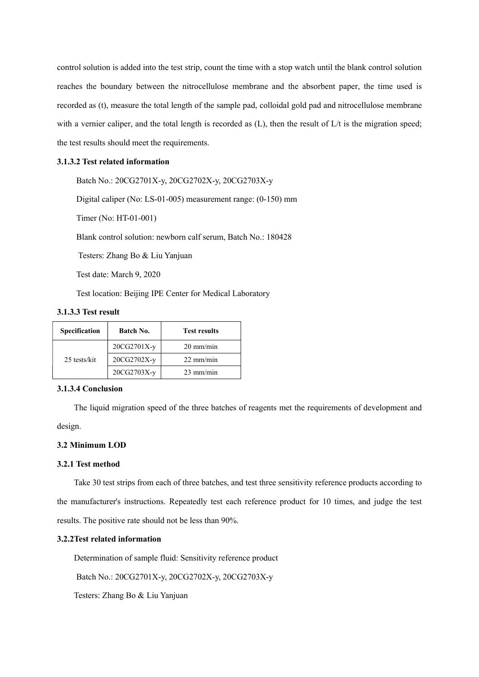control solution is added into the test strip, count the time with a stop watch until the blank control solution reaches the boundary between the nitrocellulose membrane and the absorbent paper, the time used is recorded as (t), measure the total length of the sample pad, colloidal gold pad and nitrocellulose membrane with a vernier caliper, and the total length is recorded as (L), then the result of L/t is the migration speed; the test results should meet the requirements.

#### 3.1.3.2 Test related information

Batch No.: 20CG2701X-y, 20CG2702X-y, 20CG2703X-y

Digital caliper (No: LS-01-005) measurement range: (0-150) mm

Timer (No: HT-01-001)

Blank control solution: newborn calf serum, Batch No.: 180428

Testers: Zhang Bo & Liu Yanjuan

Test date: March 9, 2020

Test location: Beijing IPE Center for Medical Laboratory

## 3.1.3.3 Test result

| <b>Specification</b> | Batch No.   | <b>Test results</b> |
|----------------------|-------------|---------------------|
|                      | 20CG2701X-y | $20 \text{ mm/min}$ |
| 25 tests/kit         | 20CG2702X-y | $22 \text{ mm/min}$ |
|                      | 20CG2703X-y | $23 \text{ mm/min}$ |

#### 3.1.3.4 Conclusion

The liquid migration speed of the three batches of reagents met the requirements of development and

design.

## 3.2 Minimum LOD

### 3.2.1 Test method

Take 30 test strips from each of three batches, and test three sensitivity reference products according to the manufacturer's instructions. Repeatedly test each reference product for 10 times, and judge the test results. The positive rate should not be less than 90%.

#### 3.2.2Test related information

Determination of sample fluid: Sensitivity reference product

Batch No.: 20CG2701X-y, 20CG2702X-y, 20CG2703X-y

Testers: Zhang Bo & Liu Yanjuan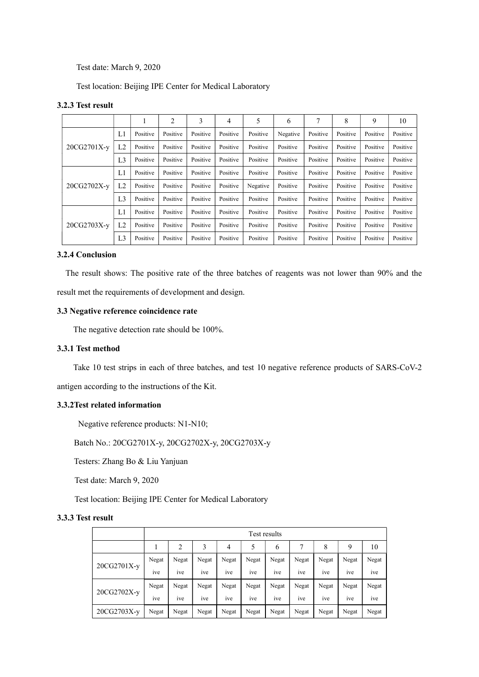Test date: March 9, 2020

Test location: Beijing IPE Center for Medical Laboratory

## 3.2.3 Test result

|             |                | 1        | 2        | 3        | 4        | 5        | 6        | 7        | 8        | 9        | 10       |
|-------------|----------------|----------|----------|----------|----------|----------|----------|----------|----------|----------|----------|
|             | L1             | Positive | Positive | Positive | Positive | Positive | Negative | Positive | Positive | Positive | Positive |
| 20CG2701X-y | L <sub>2</sub> | Positive | Positive | Positive | Positive | Positive | Positive | Positive | Positive | Positive | Positive |
|             | L <sub>3</sub> | Positive | Positive | Positive | Positive | Positive | Positive | Positive | Positive | Positive | Positive |
|             | L1             | Positive | Positive | Positive | Positive | Positive | Positive | Positive | Positive | Positive | Positive |
| 20CG2702X-y | L2             | Positive | Positive | Positive | Positive | Negative | Positive | Positive | Positive | Positive | Positive |
|             | L <sub>3</sub> | Positive | Positive | Positive | Positive | Positive | Positive | Positive | Positive | Positive | Positive |
|             | L1             | Positive | Positive | Positive | Positive | Positive | Positive | Positive | Positive | Positive | Positive |
| 20CG2703X-y | L <sub>2</sub> | Positive | Positive | Positive | Positive | Positive | Positive | Positive | Positive | Positive | Positive |
|             | L <sub>3</sub> | Positive | Positive | Positive | Positive | Positive | Positive | Positive | Positive | Positive | Positive |

#### 3.2.4 Conclusion

The result shows: The positive rate of the three batches of reagents was not lower than 90% and the result met the requirements of development and design.

#### 3.3 Negative reference coincidence rate

The negative detection rate should be 100%.

## 3.3.1 Test method

Take 10 test strips in each of three batches, and test 10 negative reference products of SARS-CoV-2

antigen according to the instructions of the Kit.

### 3.3.2Test related information

Negative reference products: N1-N10;

Batch No.: 20CG2701X-y, 20CG2702X-y, 20CG2703X-y

Testers: Zhang Bo & Liu Yanjuan

Test date: March 9, 2020

Test location: Beijing IPE Center for Medical Laboratory

### 3.3.3 Test result

|             | Test results   |                |       |       |       |                |       |                |       |       |
|-------------|----------------|----------------|-------|-------|-------|----------------|-------|----------------|-------|-------|
|             |                | $\overline{2}$ | 3     | 4     | 5     | 6              | 7     | 8              | 9     | 10    |
|             | Negat          | Negat          | Negat | Negat | Negat | Negat          | Negat | Negat          | Negat | Negat |
| 20CG2701X-y | 1ve            | ive            | ive   | ive   | ive   | <sub>1Ve</sub> | ive   | 1ve            | ive   | ive   |
| 20CG2702X-y | Negat          | Negat          | Negat | Negat | Negat | Negat          | Negat | Negat          | Negat | Negat |
|             | $\cdot$<br>1ve | ٠<br>ive       | ive   | ive   | ive   | <sub>1Ve</sub> | 1ve   | <sub>1Ve</sub> | ive   | ive   |
| 20CG2703X-y | Negat          | Negat          | Negat | Negat | Negat | Negat          | Negat | Negat          | Negat | Negat |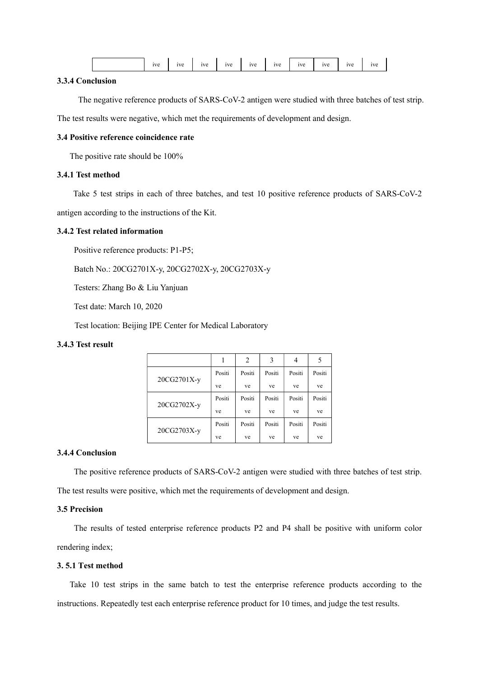|--|--|--|

#### 3.3.4 Conclusion

The negative reference products of SARS-CoV-2 antigen were studied with three batches of test strip.

The test results were negative, which met the requirements of development and design.

## 3.4 Positive reference coincidence rate

The positive rate should be 100%

## 3.4.1 Test method

Take 5 test strips in each of three batches, and test 10 positive reference products of SARS-CoV-2

antigen according to the instructions of the Kit.

#### 3.4.2 Test related information

Positive reference products: P1-P5;

Batch No.: 20CG2701X-y, 20CG2702X-y, 20CG2703X-y

Testers: Zhang Bo & Liu Yanjuan

Test date: March 10, 2020

Test location: Beijing IPE Center for Medical Laboratory

## 3.4.3 Test result

|             |        | 2      | 3      | 4      | 5      |
|-------------|--------|--------|--------|--------|--------|
| 20CG2701X-y | Positi | Positi | Positi | Positi | Positi |
|             | ve     | ve     | ve     | ve     | ve     |
|             | Positi | Positi | Positi | Positi | Positi |
| 20CG2702X-y | ve     | ve     | ve     | ve     | ve     |
|             | Positi | Positi | Positi | Positi | Positi |
| 20CG2703X-y | ve     | ve     | ve     | ve     | ve     |

## 3.4.4 Conclusion

The positive reference products of SARS-CoV-2 antigen were studied with three batches of test strip. The test results were positive, which met the requirements of development and design.

## 3.5 Precision

The results of tested enterprise reference products P2 and P4 shall be positive with uniform color rendering index;

#### 3. 5.1 Test method

Take 10 test strips in the same batch to test the enterprise reference products according to the instructions. Repeatedly test each enterprise reference product for 10 times, and judge the test results.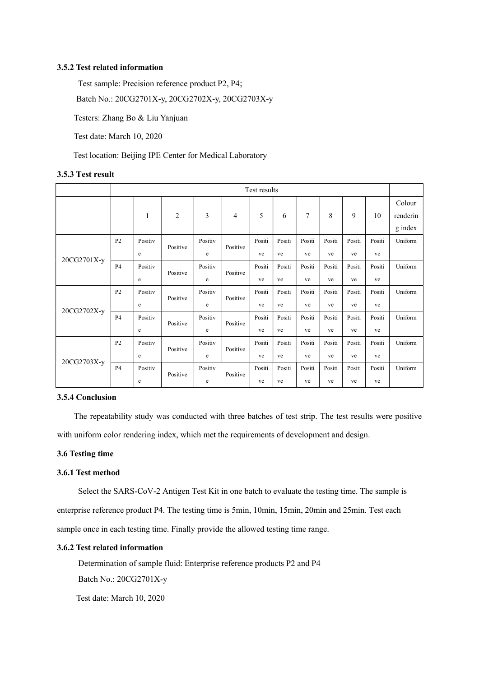#### 3.5.2 Test related information

Test sample: Precision reference product P2, P4;

Batch No.: 20CG2701X-y, 20CG2702X-y, 20CG2703X-y

Testers: Zhang Bo & Liu Yanjuan

Test date: March 10, 2020

Test location: Beijing IPE Center for Medical Laboratory

### 3.5.3 Test result

|             | Test results   |         |                |         |                |        |        |        |        |        |        |                               |
|-------------|----------------|---------|----------------|---------|----------------|--------|--------|--------|--------|--------|--------|-------------------------------|
|             |                | 1       | $\overline{2}$ | 3       | $\overline{4}$ | 5      | 6      | 7      | 8      | 9      | 10     | Colour<br>renderin<br>g index |
|             | P <sub>2</sub> | Positiv | Positive       | Positiv | Positive       | Positi | Positi | Positi | Positi | Positi | Positi | Uniform                       |
| 20CG2701X-y |                | e       |                | e       |                | ve     | ve     | ve     | ve     | ve     | ve     |                               |
|             | <b>P4</b>      | Positiv | Positive       | Positiv | Positive       | Positi | Positi | Positi | Positi | Positi | Positi | Uniform                       |
|             |                | e       |                | e       | ve             | ve     | ve     | ve     | ve     | ve     |        |                               |
|             | P <sub>2</sub> | Positiv | Positive       | Positiv | Positive       | Positi | Positi | Positi | Positi | Positi | Positi | Uniform                       |
| 20CG2702X-y |                | e       |                | e       |                | ve     | ve     | ve     | ve     | ve     | ve     |                               |
|             | <b>P4</b>      | Positiv | Positive       | Positiv | Positive       | Positi | Positi | Positi | Positi | Positi | Positi | Uniform                       |
|             |                | e       |                | e       |                | ve     | ve     | ve     | ve     | ve     | ve     |                               |
|             | P <sub>2</sub> | Positiv | Positive       | Positiv | Positive       | Positi | Positi | Positi | Positi | Positi | Positi | Uniform                       |
|             |                | e       |                | e       |                | ve     | ve     | ve     | ve     | ve     | ve     |                               |
| 20CG2703X-y | <b>P4</b>      | Positiv | Positive       | Positiv |                | Positi | Positi | Positi | Positi | Positi | Positi | Uniform                       |
|             |                | e       |                | e       | Positive       | ve     | ve     | ve     | ve     | ve     | ve     |                               |

#### 3.5.4 Conclusion

The repeatability study was conducted with three batches of test strip. The test results were positive with uniform color rendering index, which met the requirements of development and design.

## 3.6 Testing time

## 3.6.1 Test method

Select the SARS-CoV-2 Antigen Test Kit in one batch to evaluate the testing time. The sample is enterprise reference product P4. The testing time is 5min, 10min, 15min, 20min and 25min. Test each sample once in each testing time. Finally provide the allowed testing time range.

#### 3.6.2 Test related information

Determination of sample fluid: Enterprise reference products P2 and P4 Batch No.: 20CG2701X-y

Test date: March 10, 2020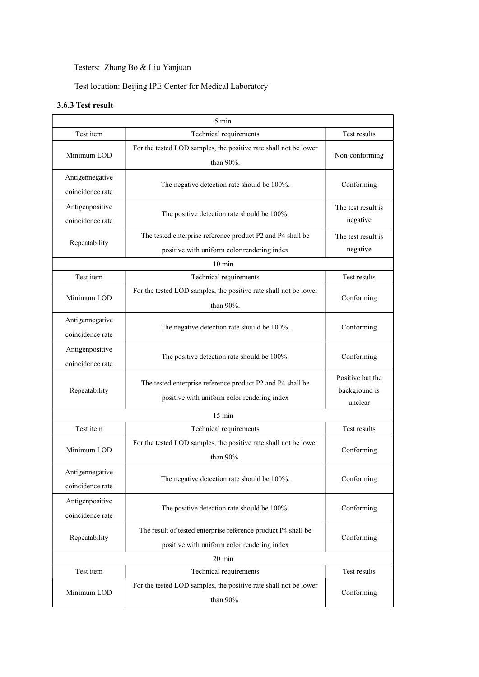## Testers: Zhang Bo & Liu Yanjuan

Test location: Beijing IPE Center for Medical Laboratory

## 3.6.3 Test result

|                                     | 5 min                                                                                                        |                                |  |  |  |  |
|-------------------------------------|--------------------------------------------------------------------------------------------------------------|--------------------------------|--|--|--|--|
| Test item                           | Technical requirements                                                                                       |                                |  |  |  |  |
| Minimum LOD                         | For the tested LOD samples, the positive rate shall not be lower<br>than $90\%$ .                            |                                |  |  |  |  |
| Antigennegative<br>coincidence rate | The negative detection rate should be 100%.                                                                  | Conforming                     |  |  |  |  |
| Antigenpositive<br>coincidence rate | The positive detection rate should be 100%;                                                                  | The test result is<br>negative |  |  |  |  |
| Repeatability                       | The tested enterprise reference product P2 and P4 shall be<br>positive with uniform color rendering index    | The test result is<br>negative |  |  |  |  |
|                                     | $10 \text{ min}$                                                                                             |                                |  |  |  |  |
| Test item                           | Technical requirements                                                                                       | Test results                   |  |  |  |  |
| Minimum LOD                         | For the tested LOD samples, the positive rate shall not be lower<br>than 90%.                                | Conforming                     |  |  |  |  |
| Antigennegative<br>coincidence rate | The negative detection rate should be 100%.                                                                  | Conforming                     |  |  |  |  |
| Antigenpositive<br>coincidence rate | The positive detection rate should be 100%;                                                                  | Conforming                     |  |  |  |  |
| Repeatability                       | The tested enterprise reference product P2 and P4 shall be<br>positive with uniform color rendering index    |                                |  |  |  |  |
|                                     | $15 \text{ min}$                                                                                             |                                |  |  |  |  |
| Test item                           | Technical requirements                                                                                       | Test results                   |  |  |  |  |
| Minimum LOD                         | For the tested LOD samples, the positive rate shall not be lower<br>than $90\%$ .                            | Conforming                     |  |  |  |  |
| Antigennegative<br>coincidence rate | The negative detection rate should be 100%.                                                                  | Conforming                     |  |  |  |  |
| Antigenpositive<br>coincidence rate | The positive detection rate should be 100%;                                                                  | Conforming                     |  |  |  |  |
| Repeatability                       | The result of tested enterprise reference product P4 shall be<br>positive with uniform color rendering index | Conforming                     |  |  |  |  |
|                                     | $20 \text{ min}$                                                                                             |                                |  |  |  |  |
| Test item                           | Technical requirements                                                                                       | Test results                   |  |  |  |  |
| Minimum LOD                         | For the tested LOD samples, the positive rate shall not be lower<br>than 90%.                                | Conforming                     |  |  |  |  |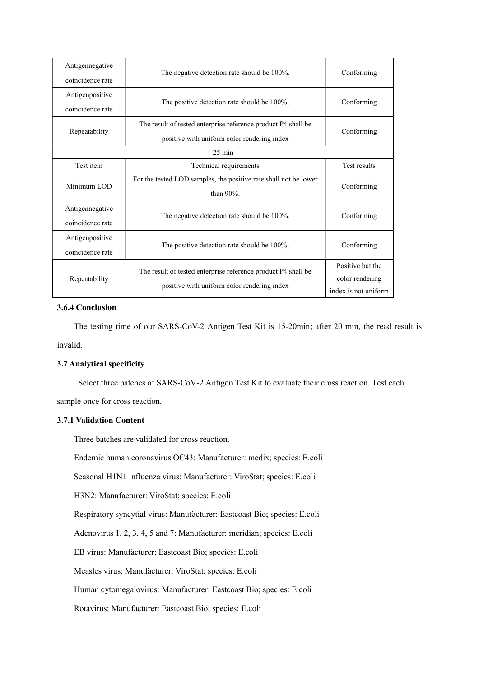| Antigennegative<br>coincidence rate                                                                                           | The negative detection rate should be 100%.                                       | Conforming                                                  |  |  |
|-------------------------------------------------------------------------------------------------------------------------------|-----------------------------------------------------------------------------------|-------------------------------------------------------------|--|--|
| Antigenpositive<br>coincidence rate                                                                                           | The positive detection rate should be 100%;                                       | Conforming                                                  |  |  |
| Repeatability                                                                                                                 | Conforming                                                                        |                                                             |  |  |
|                                                                                                                               | $25 \text{ min}$                                                                  |                                                             |  |  |
| Test item                                                                                                                     | Technical requirements                                                            |                                                             |  |  |
| Minimum LOD                                                                                                                   | For the tested LOD samples, the positive rate shall not be lower<br>than $90\%$ . |                                                             |  |  |
| Antigennegative<br>coincidence rate                                                                                           | The negative detection rate should be 100%.                                       |                                                             |  |  |
| Antigenpositive<br>coincidence rate                                                                                           | The positive detection rate should be 100%;                                       |                                                             |  |  |
| The result of tested enterprise reference product P4 shall be<br>Repeatability<br>positive with uniform color rendering index |                                                                                   | Positive but the<br>color rendering<br>index is not uniform |  |  |

## 3.6.4 Conclusion

The testing time of our SARS-CoV-2 Antigen Test Kit is 15-20min; after 20 min, the read result is invalid.

## 3.7 Analytical specificity

Select three batches of SARS-CoV-2 Antigen Test Kit to evaluate their cross reaction. Test each sample once for cross reaction.

## 3.7.1 Validation Content

Three batches are validated for cross reaction.

Endemic human coronavirus OC43: Manufacturer: medix; species: E.coli

Seasonal H1N1 influenza virus: Manufacturer: ViroStat; species: E.coli

H3N2: Manufacturer: ViroStat; species: E.coli

Respiratory syncytial virus: Manufacturer: Eastcoast Bio; species: E.coli

Adenovirus 1, 2, 3, 4, 5 and 7: Manufacturer: meridian; species: E.coli

EB virus: Manufacturer: Eastcoast Bio; species: E.coli

Measles virus: Manufacturer: ViroStat; species: E.coli

Human cytomegalovirus: Manufacturer: Eastcoast Bio; species: E.coli

Rotavirus: Manufacturer: Eastcoast Bio; species: E.coli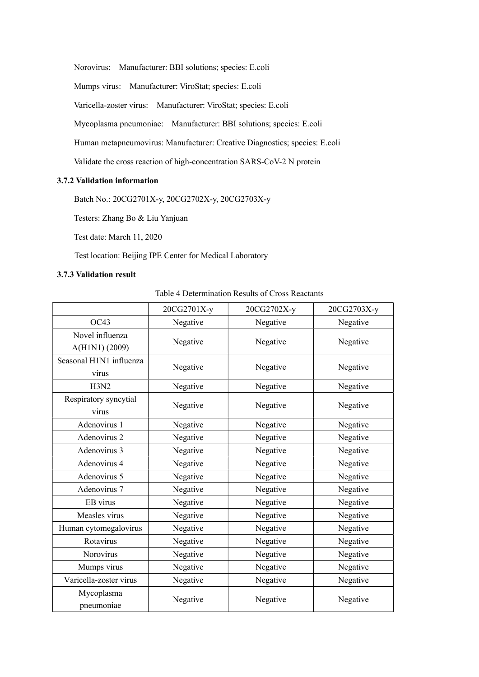Norovirus: Manufacturer: BBI solutions; species: E.coli

Mumps virus: Manufacturer: ViroStat; species: E.coli

Varicella-zoster virus: Manufacturer: ViroStat; species: E.coli

Mycoplasma pneumoniae: Manufacturer: BBI solutions; species: E.coli

Human metapneumovirus: Manufacturer: Creative Diagnostics; species: E.coli

Validate the cross reaction of high-concentration SARS-CoV-2 N protein

## 3.7.2 Validation information

Batch No.: 20CG2701X-y, 20CG2702X-y, 20CG2703X-y

Testers: Zhang Bo & Liu Yanjuan

Test date: March 11, 2020

Test location: Beijing IPE Center for Medical Laboratory

## 3.7.3 Validation result

## Table 4 Determination Results of Cross Reactants

|                                   | 20CG2701X-y | 20CG2702X-y | 20CG2703X-y |
|-----------------------------------|-------------|-------------|-------------|
| OC43                              | Negative    | Negative    | Negative    |
| Novel influenza<br>A(H1N1) (2009) | Negative    | Negative    | Negative    |
| Seasonal H1N1 influenza<br>virus  | Negative    | Negative    | Negative    |
| H3N2                              | Negative    | Negative    | Negative    |
| Respiratory syncytial<br>virus    | Negative    | Negative    | Negative    |
| Adenovirus 1                      | Negative    | Negative    | Negative    |
| Adenovirus 2                      | Negative    | Negative    | Negative    |
| Adenovirus 3                      | Negative    | Negative    | Negative    |
| Adenovirus 4                      | Negative    | Negative    | Negative    |
| Adenovirus 5                      | Negative    | Negative    | Negative    |
| Adenovirus 7                      | Negative    | Negative    | Negative    |
| EB virus                          | Negative    | Negative    | Negative    |
| Measles virus                     | Negative    | Negative    | Negative    |
| Human cytomegalovirus             | Negative    | Negative    | Negative    |
| Rotavirus                         | Negative    | Negative    | Negative    |
| Norovirus                         | Negative    | Negative    | Negative    |
| Mumps virus                       | Negative    | Negative    | Negative    |
| Varicella-zoster virus            | Negative    | Negative    | Negative    |
| Mycoplasma<br>pneumoniae          | Negative    | Negative    | Negative    |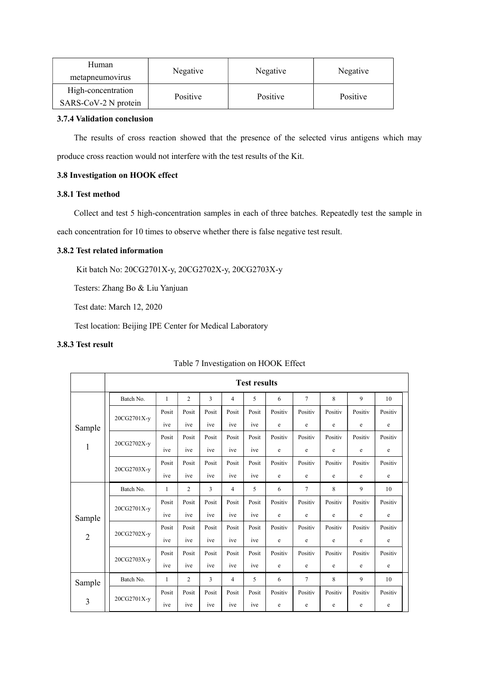| Human                                      | Negative | Negative | Negative |  |
|--------------------------------------------|----------|----------|----------|--|
| metapheumovirus                            |          |          |          |  |
| High-concentration<br>SARS-CoV-2 N protein | Positive | Positive | Positive |  |

## 3.7.4 Validation conclusion

The results of cross reaction showed that the presence of the selected virus antigens which may produce cross reaction would not interfere with the test results of the Kit.

## 3.8 Investigation on HOOK effect

## 3.8.1 Test method

Collect and test 5 high-concentration samples in each of three batches. Repeatedly test the sample in each concentration for 10 times to observe whether there is false negative test result.

## 3.8.2 Test related information

Kit batch No: 20CG2701X-y, 20CG2702X-y, 20CG2703X-y

Testers: Zhang Bo & Liu Yanjuan

Test date: March 12, 2020

Test location: Beijing IPE Center for Medical Laboratory

## 3.8.3 Test result

|                | <b>Test results</b> |       |                |       |       |       |             |                 |         |         |         |  |  |
|----------------|---------------------|-------|----------------|-------|-------|-------|-------------|-----------------|---------|---------|---------|--|--|
|                | Batch No.           | 1     | $\overline{2}$ | 3     | 4     | 5     | 6           | $7\phantom{.0}$ | 8       | 9       | 10      |  |  |
|                | 20CG2701X-y         | Posit | Posit          | Posit | Posit | Posit | Positiv     | Positiv         | Positiv | Positiv | Positiv |  |  |
| Sample         |                     | ive   | ive            | ive   | ive   | ive   | $\mathbf e$ | $\mathbf e$     | e       | e       | $\rm e$ |  |  |
|                | 20CG2702X-y         | Posit | Posit          | Posit | Posit | Posit | Positiv     | Positiv         | Positiv | Positiv | Positiv |  |  |
| $\mathbf{1}$   |                     | ive   | ive            | ive   | ive   | ive   | e           | e               | e       | e       | e       |  |  |
|                | 20CG2703X-y         | Posit | Posit          | Posit | Posit | Posit | Positiv     | Positiv         | Positiv | Positiv | Positiv |  |  |
|                |                     | ive   | ive            | ive   | ive   | ive   | e           | e               | e       | e       | e       |  |  |
|                | Batch No.           | 1     | $\overline{c}$ | 3     | 4     | 5     | 6           | $\tau$          | 8       | 9       | 10      |  |  |
|                | 20CG2701X-y         | Posit | Posit          | Posit | Posit | Posit | Positiv     | Positiv         | Positiv | Positiv | Positiv |  |  |
| Sample         |                     | ive   | ive            | ive   | ive   | ive   | e           | e               | e       | e       | e       |  |  |
|                | 20CG2702X-y         | Posit | Posit          | Posit | Posit | Posit | Positiv     | Positiv         | Positiv | Positiv | Positiv |  |  |
| $\overline{2}$ |                     | ive   | ive            | ive   | ive   | ive   | e           | e               | e       | e       | $\rm e$ |  |  |
|                | 20CG2703X-y         | Posit | Posit          | Posit | Posit | Posit | Positiv     | Positiv         | Positiv | Positiv | Positiv |  |  |
|                |                     | ive   | ive            | ive   | ive   | ive   | e           | e               | e       | e       | e       |  |  |
| Sample         | Batch No.           | 1     | $\overline{2}$ | 3     | 4     | 5     | 6           | $\tau$          | 8       | 9       | 10      |  |  |
|                | 20CG2701X-y         | Posit | Posit          | Posit | Posit | Posit | Positiv     | Positiv         | Positiv | Positiv | Positiv |  |  |
| 3              |                     | ive   | ive            | ive   | ive   | ive   | e           | e               | e       | e       | e       |  |  |

## Table 7 Investigation on HOOK Effect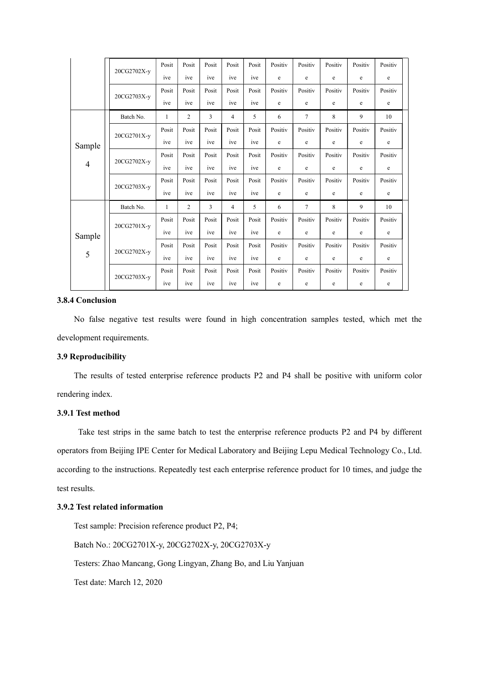|                | 20CG2702X-y | Posit | Posit          | Posit          | Posit | Posit | Positiv     | Positiv        | Positiv     | Positiv | Positiv |  |
|----------------|-------------|-------|----------------|----------------|-------|-------|-------------|----------------|-------------|---------|---------|--|
|                |             | ive   | ive            | ive            | ive   | ive   | $\mathbf e$ | $\rm e$        | e           | e       | e       |  |
|                | 20CG2703X-y | Posit | Posit          | Posit          | Posit | Posit | Positiv     | Positiv        | Positiv     | Positiv | Positiv |  |
|                |             | ive   | ive            | ive            | ive   | ive   | e           | e              | e           | e       | e       |  |
|                | Batch No.   | 1     | $\overline{c}$ | 3              | 4     | 5     | 6           | $\overline{7}$ | 8           | 9       | 10      |  |
|                | 20CG2701X-y | Posit | Posit          | Posit          | Posit | Posit | Positiv     | Positiv        | Positiv     | Positiv | Positiv |  |
| Sample         |             | ive   | ive            | ive            | ive   | ive   | e           | e              | e           | e       | e       |  |
| $\overline{4}$ | 20CG2702X-y | Posit | Posit          | Posit          | Posit | Posit | Positiv     | Positiv        | Positiv     | Positiv | Positiv |  |
|                |             | ive   | ive            | ive            | ive   | ive   | e           | e              | e           | e       | e       |  |
|                | 20CG2703X-y | Posit | Posit          | Posit          | Posit | Posit | Positiv     | Positiv        | Positiv     | Positiv | Positiv |  |
|                |             | ive   | ive            | ive            | ive   | ive   | $\mathbf e$ | e              | e           | e       | e       |  |
|                | Batch No.   | 1     | $\overline{c}$ | $\overline{3}$ | 4     | 5     | 6           | $\overline{7}$ | 8           | 9       | 10      |  |
|                | 20CG2701X-y | Posit | Posit          | Posit          | Posit | Posit | Positiv     | Positiv        | Positiv     | Positiv | Positiv |  |
| Sample<br>5    |             | ive   | ive            | ive            | ive   | ive   | $\mathbf e$ | $\rm e$        | $\mathbf e$ | e       | e       |  |
|                | 20CG2702X-y | Posit | Posit          | Posit          | Posit | Posit | Positiv     | Positiv        | Positiv     | Positiv | Positiv |  |
|                |             | ive   | ive            | ive            | ive   | ive   | e           | e              | e           | e       | e       |  |
|                | 20CG2703X-y | Posit | Posit          | Posit          | Posit | Posit | Positiv     | Positiv        | Positiv     | Positiv | Positiv |  |
|                |             | ive   | ive            | ive            | ive   | ive   | e           | e              | e           | e       | e       |  |

#### 3.8.4 Conclusion

No false negative test results were found in high concentration samples tested, which met the development requirements.

#### 3.9 Reproducibility

The results of tested enterprise reference products P2 and P4 shall be positive with uniform color rendering index.

#### 3.9.1 Test method

Take test strips in the same batch to test the enterprise reference products P2 and P4 by different operators from Beijing IPE Center for Medical Laboratory and Beijing Lepu Medical Technology Co., Ltd. according to the instructions. Repeatedly test each enterprise reference product for 10 times, and judge the test results.

## 3.9.2 Test related information

Test sample: Precision reference product P2, P4;

Batch No.: 20CG2701X-y, 20CG2702X-y, 20CG2703X-y

Testers: Zhao Mancang, Gong Lingyan, Zhang Bo, and Liu Yanjuan

Test date: March 12, 2020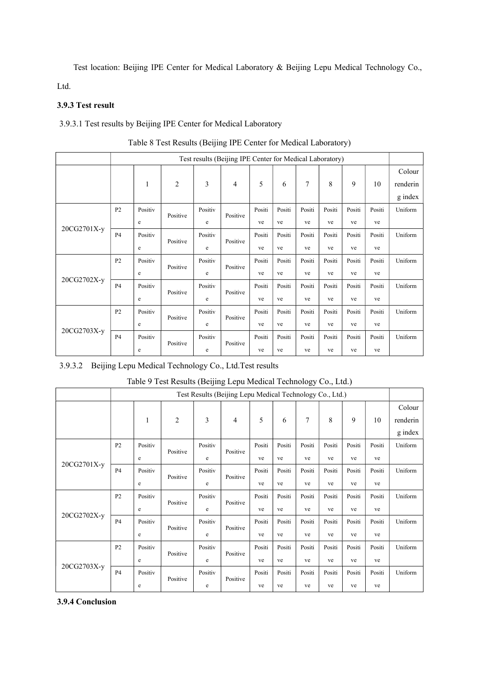Test location: Beijing IPE Center for Medical Laboratory & Beijing Lepu Medical Technology Co.,

Ltd.

## 3.9.3 Test result

3.9.3.1 Test results by Beijing IPE Center for Medical Laboratory

|             |                | Test results (Beijing IPE Center for Medical Laboratory) |                |         |          |        |        |        |        |        |        |                               |
|-------------|----------------|----------------------------------------------------------|----------------|---------|----------|--------|--------|--------|--------|--------|--------|-------------------------------|
|             |                | 1                                                        | $\overline{2}$ | 3       | 4        | 5      | 6      | 7      | 8      | 9      | 10     | Colour<br>renderin<br>g index |
|             | P <sub>2</sub> | Positiv                                                  | Positive       | Positiv | Positive | Positi | Positi | Positi | Positi | Positi | Positi | Uniform                       |
|             |                | e                                                        |                | e       |          | ve     | ve     | ve     | ve     | ve     | ve     |                               |
| 20CG2701X-y | <b>P4</b>      | Positiv                                                  | Positive       | Positiv | Positive | Positi | Positi | Positi | Positi | Positi | Positi | Uniform                       |
|             |                | e                                                        |                | e       |          | ve     | ve     | ve     | ve     | ve     | ve     |                               |
|             | P <sub>2</sub> | Positiv                                                  | Positive       | Positiv | Positive | Positi | Positi | Positi | Positi | Positi | Positi | Uniform                       |
|             |                | e                                                        |                | e       |          | ve     | ve     | ve     | ve     | ve     | ve     |                               |
| 20CG2702X-y | P <sub>4</sub> | Positiv                                                  | Positive       | Positiv | Positive | Positi | Positi | Positi | Positi | Positi | Positi | Uniform                       |
|             |                | e                                                        |                | e       |          | ve     | ve     | ve     | ve     | ve     | ve     |                               |
|             | P <sub>2</sub> | Positiv                                                  | Positive       | Positiv | Positive | Positi | Positi | Positi | Positi | Positi | Positi | Uniform                       |
|             |                | e                                                        |                | e       |          | ve     | ve     | ve     | ve     | ve     | ve     |                               |
| 20CG2703X-y | <b>P4</b>      | Positiv                                                  | Positive       | Positiv |          | Positi | Positi | Positi | Positi | Positi | Positi | Uniform                       |
|             |                | e                                                        |                | e       | Positive | ve     | ve     | ve     | ve     | ve     | ve     |                               |

|  | Table 8 Test Results (Beijing IPE Center for Medical Laboratory) |  |
|--|------------------------------------------------------------------|--|
|--|------------------------------------------------------------------|--|

## 3.9.3.2 Beijing Lepu Medical Technology Co., Ltd.Test results

|             |                | Test Results (Beijing Lepu Medical Technology Co., Ltd.) |                |              |          |              |              |              |              |              |              |                               |
|-------------|----------------|----------------------------------------------------------|----------------|--------------|----------|--------------|--------------|--------------|--------------|--------------|--------------|-------------------------------|
|             |                | 1                                                        | $\overline{2}$ | 3            | 4        | 5            | 6            | 7            | 8            | 9            | 10           | Colour<br>renderin<br>g index |
|             | P <sub>2</sub> | Positiv<br>e                                             | Positive       | Positiv<br>e | Positive | Positi<br>ve | Positi<br>ve | Positi<br>ve | Positi<br>ve | Positi<br>ve | Positi<br>ve | Uniform                       |
| 20CG2701X-y | <b>P4</b>      | Positiv<br>e                                             | Positive       | Positiv<br>e | Positive | Positi<br>ve | Positi<br>ve | Positi<br>ve | Positi<br>ve | Positi<br>ve | Positi<br>ve | Uniform                       |
|             | P <sub>2</sub> | Positiv<br>e                                             | Positive       | Positiv<br>e | Positive | Positi<br>ve | Positi<br>ve | Positi<br>ve | Positi<br>ve | Positi<br>ve | Positi<br>ve | Uniform                       |
| 20CG2702X-y | P <sub>4</sub> | Positiv<br>e                                             | Positive       | Positiv<br>e | Positive | Positi<br>ve | Positi<br>ve | Positi<br>ve | Positi<br>ve | Positi<br>ve | Positi<br>ve | Uniform                       |
|             | P <sub>2</sub> | Positiv<br>e                                             | Positive       | Positiv<br>e | Positive | Positi<br>ve | Positi<br>ve | Positi<br>ve | Positi<br>ve | Positi<br>ve | Positi<br>ve | Uniform                       |
| 20CG2703X-y | <b>P4</b>      | Positiv<br>e                                             | Positive       | Positiv<br>e | Positive | Positi<br>ve | Positi<br>ve | Positi<br>ve | Positi<br>ve | Positi<br>ve | Positi<br>ve | Uniform                       |

## Table 9 Test Results (Beijing Lepu Medical Technology Co., Ltd.)

## 3.9.4 Conclusion